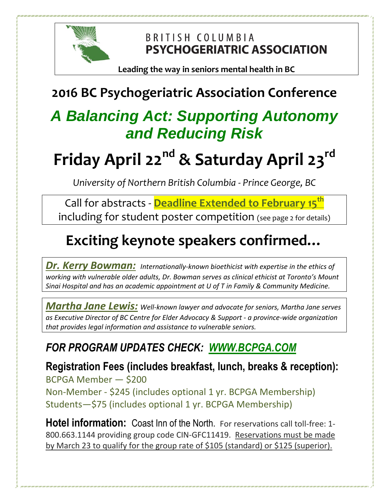

BRITISH COLUMBIA **PSYCHOGERIATRIC ASSOCIATION** 

**Leading the way in seniors mental health in BC**

### **2016 BC Psychogeriatric Association Conference**

## *A Balancing Act: Supporting Autonomy and Reducing Risk*

# **Friday April 22nd & Saturday April 23rd**

*University of Northern British Columbia - Prince George, BC*

Call for abstracts - **Deadline Extended to February 15th** including for student poster competition (see page 2 for details)

## **Exciting keynote speakers confirmed…**

*Dr. Kerry Bowman: Internationally-known bioethicist with expertise in the ethics of working with vulnerable older adults, Dr. Bowman serves as clinical ethicist at Toronto's Mount Sinai Hospital and has an academic appointment at U of T in Family & Community Medicine.*

*Martha Jane Lewis: Well-known lawyer and advocate for seniors, Martha Jane serves as Executive Director of BC Centre for Elder Advocacy & Support - a province-wide organization that provides legal information and assistance to vulnerable seniors.*

### *FOR PROGRAM UPDATES CHECK: [WWW.BCPGA.COM](http://www.bcpga.com/)*

**Registration Fees (includes breakfast, lunch, breaks & reception):**  BCPGA Member — \$200 Non-Member - \$245 (includes optional 1 yr. BCPGA Membership) Students—\$75 (includes optional 1 yr. BCPGA Membership)

**Hotel information:** Coast Inn of the North. For reservations call toll-free: 1- 800.663.1144 providing group code CIN-GFC11419. Reservations must be made by March 23 to qualify for the group rate of \$105 (standard) or \$125 (superior).